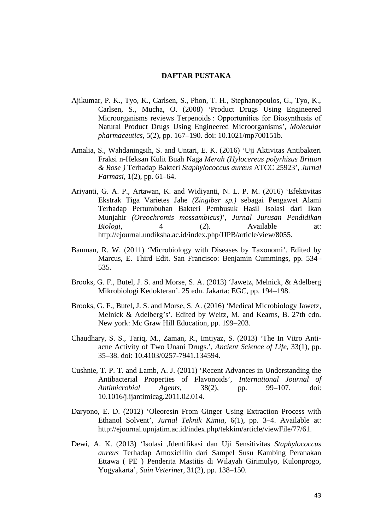## **DAFTAR PUSTAKA**

- Ajikumar, P. K., Tyo, K., Carlsen, S., Phon, T. H., Stephanopoulos, G., Tyo, K., Carlsen, S., Mucha, O. (2008) 'Product Drugs Using Engineered Microorganisms reviews Terpenoids : Opportunities for Biosynthesis of Natural Product Drugs Using Engineered Microorganisms', *Molecular pharmaceutics*, 5(2), pp. 167–190. doi: 10.1021/mp700151b.
- Amalia, S., Wahdaningsih, S. and Untari, E. K. (2016) 'Uji Aktivitas Antibakteri Fraksi n-Heksan Kulit Buah Naga *Merah (Hylocereus polyrhizus Britton & Rose )* Terhadap Bakteri *Staphylococcus aureus* ATCC 25923'*, Jurnal Farmasi*, 1(2), pp. 61–64.
- Ariyanti, G. A. P., Artawan, K. and Widiyanti, N. L. P. M. (2016) 'Efektivitas Ekstrak Tiga Varietes Jahe *(Zingiber sp.)* sebagai Pengawet Alami Terhadap Pertumbuhan Bakteri Pembusuk Hasil Isolasi dari Ikan Munjahir *(Oreochromis mossambicus)*', *Jurnal Jurusan Pendidikan Biologi*, 4 (2). Available at: http://ejournal.undiksha.ac.id/index.php/JJPB/article/view/8055.
- Bauman, R. W. (2011) 'Microbiology with Diseases by Taxonomi'. Edited by Marcus, E. Third Edit. San Francisco: Benjamin Cummings, pp. 534– 535.
- Brooks, G. F., Butel, J. S. and Morse, S. A. (2013) 'Jawetz, Melnick, & Adelberg Mikrobiologi Kedokteran'. 25 edn. Jakarta: EGC, pp. 194–198.
- Brooks, G. F., Butel, J. S. and Morse, S. A. (2016) 'Medical Microbiology Jawetz, Melnick & Adelberg's'. Edited by Weitz, M. and Kearns, B. 27th edn. New york: Mc Graw Hill Education, pp. 199–203.
- Chaudhary, S. S., Tariq, M., Zaman, R., Imtiyaz, S. (2013) 'The In Vitro Anti acne Activity of Two Unani Drugs.', *Ancient Science of Life*, 33(1), pp. 35–38. doi: 10.4103/0257-7941.134594.
- Cushnie, T. P. T. and Lamb, A. J. (2011) 'Recent Advances in Understanding the Antibacterial Properties of Flavonoids', *International Journal of Antimicrobial Agents*, 38(2), pp. 99–107. doi: 10.1016/j.ijantimicag.2011.02.014.
- Daryono, E. D. (2012) 'Oleoresin From Ginger Using Extraction Process with Ethanol Solvent', *Jurnal Teknik Kimia*, 6(1), pp. 3–4. Available at: http://ejournal.upnjatim.ac.id/index.php/tekkim/article/viewFile/77/61.
- Dewi, A. K. (2013) 'Isolasi ,Identifikasi dan Uji Sensitivitas *Staphylococcus aureus* Terhadap Amoxicillin dari Sampel Susu Kambing Peranakan Ettawa ( PE ) Penderita Mastitis di Wilayah Girimulyo, Kulonprogo, Yogyakarta', *Sain Veterine*r, 31(2), pp. 138–150.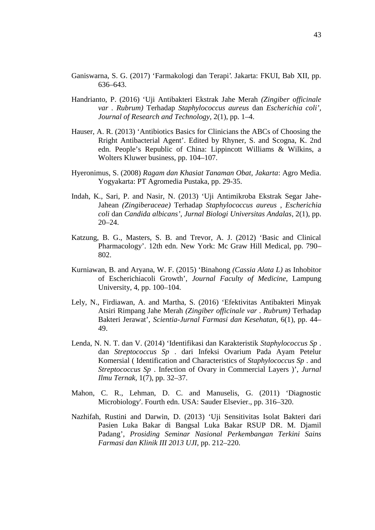- Ganiswarna, S. G. (2017) 'Farmakologi dan Terapi'. Jakarta: FKUI, Bab XII, pp. 636–643.
- Handrianto, P. (2016) 'Uji Antibakteri Ekstrak Jahe Merah *(Zingiber officinale var . Rubrum)* Terhadap *Staphylococcus aureus* dan *Escherichia coli'*, *Journal of Research and Technology*, 2(1), pp. 1–4.
- Hauser, A. R. (2013) 'Antibiotics Basics for Clinicians the ABCs of Choosing the Rright Antibacterial Agent'. Edited by Rhyner, S. and Scogna, K. 2nd edn. People's Republic of China: Lippincott Williams & Wilkins, a Wolters Kluwer business, pp. 104–107.
- Hyeronimus, S. (2008) *Ragam dan Khasiat Tanaman Obat, Jakarta*: Agro Media. Yogyakarta: PT Agromedia Pustaka, pp. 29-35.
- Indah, K., Sari, P. and Nasir, N. (2013) 'Uji Antimikroba Ekstrak Segar Jahe- Jahean *(Zingiberaceae)* Terhadap *Staphylococcus aureus* , *Escherichia coli* dan *Candida albicans', Jurnal Biologi Universitas Andalas*, 2(1), pp. 20–24.
- Katzung, B. G., Masters, S. B. and Trevor, A. J. (2012) 'Basic and Clinical Pharmacology'. 12th edn. New York: Mc Graw Hill Medical, pp. 790– 802.
- Kurniawan, B. and Aryana, W. F. (2015) 'Binahong *(Cassia Alata L)* as Inhobitor of Escherichiacoli Growth', *Journal Faculty of Medicine*, Lampung University, 4, pp. 100–104.
- Lely, N., Firdiawan, A. and Martha, S. (2016) 'Efektivitas Antibakteri Minyak Atsiri Rimpang Jahe Merah *(Zingiber officinale var . Rubrum)* Terhadap Bakteri Jerawat', *Scientia-Jurnal Farmasi dan Kesehatan*, 6(1), pp. 44– 49.
- Lenda, N. N. T. dan V. (2014) 'Identifikasi dan Karakteristik *Staphylococcus Sp* . dan *Streptococcus Sp* . dari Infeksi Ovarium Pada Ayam Petelur Komersial ( Identification and Characteristics of *Staphylococcus Sp* . and *Streptococcus Sp* . Infection of Ovary in Commercial Layers )', *Jurnal Ilmu Ternak*, 1(7), pp. 32–37.
- Mahon, C. R., Lehman, D. C. and Manuselis, G. (2011) 'Diagnostic Microbiology'. Fourth edn. USA: Sauder Elsevier., pp. 316–320.
- Nazhifah, Rustini and Darwin, D. (2013) 'Uji Sensitivitas Isolat Bakteri dari Pasien Luka Bakar di Bangsal Luka Bakar RSUP DR. M. Djamil Padang', *Prosiding Seminar Nasional Perkembangan Terkini Sains Farmasi dan Klinik III 2013 UJI*, pp. 212–220.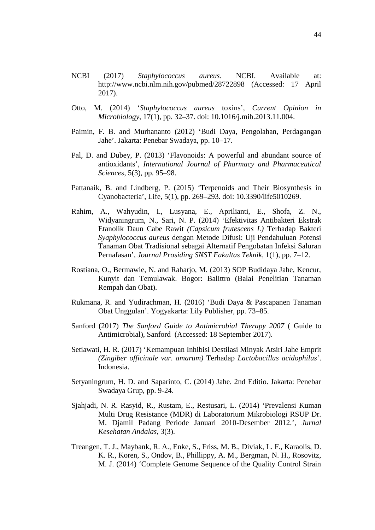- NCBI (2017) *Staphylococcus aureus*. NCBI. Available at: http://www.ncbi.nlm.nih.gov/pubmed/28722898 (Accessed: 17 April 2017).
- Otto, M. (2014) '*Staphylococcus aureus* toxins', *Current Opinion in Microbiology*, 17(1), pp. 32–37. doi: 10.1016/j.mib.2013.11.004.
- Paimin, F. B. and Murhananto (2012) 'Budi Daya, Pengolahan, Perdagangan Jahe'. Jakarta: Penebar Swadaya, pp. 10–17.
- Pal, D. and Dubey, P. (2013) 'Flavonoids: A powerful and abundant source of antioxidants', *International Journal of Pharmacy and Pharmaceutical Sciences*, 5(3), pp. 95–98.
- Pattanaik, B. and Lindberg, P. (2015) 'Terpenoids and Their Biosynthesis in Cyanobacteria', Life, 5(1), pp. 269–293. doi: 10.3390/life5010269.
- Rahim, A., Wahyudin, I., Lusyana, E., Aprilianti, E., Shofa, Z. N., Widyaningrum, N., Sari, N. P. (2014) 'Efektivitas Antibakteri Ekstrak Etanolik Daun Cabe Rawit *(Capsicum frutescens L)* Terhadap Bakteri *Syaphylococcus aureus* dengan Metode Difusi: Uji Pendahuluan Potensi Tanaman Obat Tradisional sebagai Alternatif Pengobatan Infeksi Saluran Pernafasan', *Journal Prosiding SNST Fakultas Teknik*, 1(1), pp. 7–12.
- Rostiana, O., Bermawie, N. and Raharjo, M. (2013) SOP Budidaya Jahe, Kencur, Kunyit dan Temulawak. Bogor: Balittro (Balai Penelitian Tanaman Rempah dan Obat).
- Rukmana, R. and Yudirachman, H. (2016) 'Budi Daya & Pascapanen Tanaman Obat Unggulan'. Yogyakarta: Lily Publisher, pp. 73–85.
- Sanford (2017) *The Sanford Guide to Antimicrobial Therapy 2007* ( Guide to Antimicrobial), Sanford (Accessed: 18 September 2017).
- Setiawati, H. R. (2017) 'Kemampuan Inhibisi Destilasi Minyak Atsiri Jahe Emprit *(Zingiber officinale var. amarum)* Terhadap *Lactobacillus acidophilus'*. Indonesia.
- Setyaningrum, H. D. and Saparinto, C. (2014) Jahe. 2nd Editio. Jakarta: Penebar Swadaya Grup, pp. 9-24.
- Sjahjadi, N. R. Rasyid, R., Rustam, E., Restusari, L. (2014) 'Prevalensi Kuman Multi Drug Resistance (MDR) di Laboratorium Mikrobiologi RSUP Dr. M. Djamil Padang Periode Januari 2010-Desember 2012.', *Jurnal Kesehatan Andalas*, 3(3).
- Treangen, T. J., Maybank, R. A., Enke, S., Friss, M. B., Diviak, L. F., Karaolis, D. K. R., Koren, S., Ondov, B., Phillippy, A. M., Bergman, N. H., Rosovitz, M. J. (2014) 'Complete Genome Sequence of the Quality Control Strain